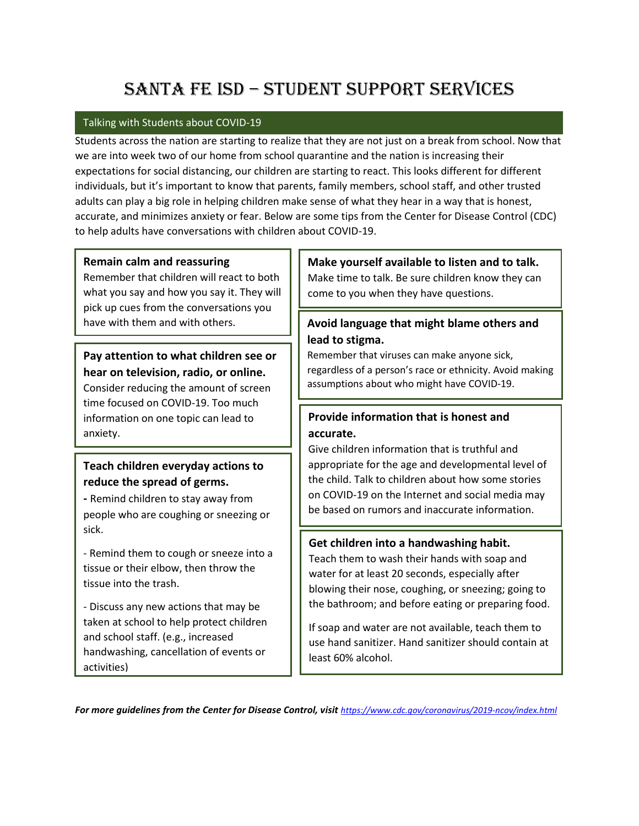# Santa Fe ISD – Student Support Services

#### Talking with Students about COVID-19

Students across the nation are starting to realize that they are not just on a break from school. Now that we are into week two of our home from school quarantine and the nation is increasing their expectations for social distancing, our children are starting to react. This looks different for different individuals, but it's important to know that parents, family members, school staff, and other trusted adults can play a big role in helping children make sense of what they hear in a way that is honest, accurate, and minimizes anxiety or fear. Below are some tips from the Center for Disease Control (CDC) to help adults have conversations with children about COVID-19.

#### **Remain calm and reassuring**

Remember that children will react to both what you say and how you say it. They will pick up cues from the conversations you have with them and with others.

**Pay attention to what children see or hear on television, radio, or online.** Consider reducing the amount of screen time focused on COVID-19. Too much information on one topic can lead to anxiety.

### **Teach children everyday actions to reduce the spread of germs.**

**-** Remind children to stay away from people who are coughing or sneezing or sick.

- Remind them to cough or sneeze into a tissue or their elbow, then throw the tissue into the trash.

- Discuss any new actions that may be taken at school to help protect children and school staff. (e.g., increased handwashing, cancellation of events or activities)

# **Make yourself available to listen and to talk.**

Make time to talk. Be sure children know they can come to you when they have questions.

### **Avoid language that might blame others and lead to stigma.**

Remember that viruses can make anyone sick, regardless of a person's race or ethnicity. Avoid making assumptions about who might have COVID-19.

### **Provide information that is honest and accurate.**

Give children information that is truthful and appropriate for the age and developmental level of the child. Talk to children about how some stories on COVID-19 on the Internet and social media may be based on rumors and inaccurate information.

### **Get children into a handwashing habit.**

Teach them to wash their hands with soap and water for at least 20 seconds, especially after blowing their nose, coughing, or sneezing; going to the bathroom; and before eating or preparing food.

If soap and water are not available, teach them to use hand sanitizer. Hand sanitizer should contain at least 60% alcohol.

For more quidelines from the Center for Disease Control, visit <https://www.cdc.gov/coronavirus/2019-ncov/index.html>